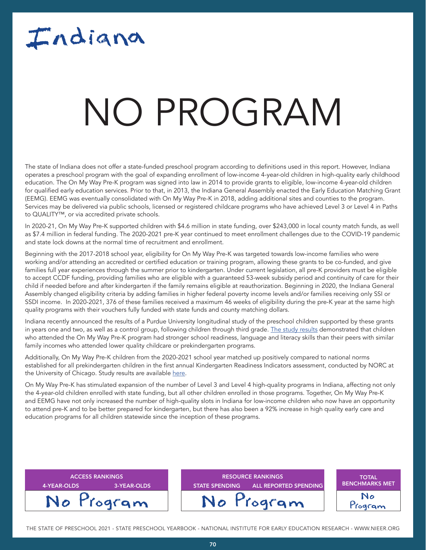## Indiana

### NATA T NO PROGRAM

The state of Indiana does not offer a state-funded preschool program according to definitions used in this report. However, Indiana operates a preschool program with the goal of expanding enrollment of low-income 4-year-old children in high-quality early childhood education. The On My Way Pre-K program was signed into law in 2014 to provide grants to eligible, low-income 4-year-old children for qualified early education services. Prior to that, in 2013, the Indiana General Assembly enacted the Early Education Matching Grant (EEMG). EEMG was eventually consolidated with On My Way Pre-K in 2018, adding additional sites and counties to the program. Services may be delivered via public schools, licensed or registered childcare programs who have achieved Level 3 or Level 4 in Paths to QUALITY™, or via accredited private schools.

In 2020-21, On My Way Pre-K supported children with \$4.6 million in state funding, over \$243,000 in local county match funds, as well as \$7.4 million in federal funding. The 2020-2021 pre-K year continued to meet enrollment challenges due to the COVID-19 pandemic and state lock downs at the normal time of recruitment and enrollment.

Beginning with the 2017-2018 school year, eligibility for On My Way Pre-K was targeted towards low-income families who were working and/or attending an accredited or certified education or training program, allowing these grants to be co-funded, and give families full year experiences through the summer prior to kindergarten. Under current legislation, all pre-K providers must be eligible to accept CCDF funding, providing families who are eligible with a guaranteed 53-week subsidy period and continuity of care for their child if needed before and after kindergarten if the family remains eligible at reauthorization. Beginning in 2020, the Indiana General Assembly changed eligibility criteria by adding families in higher federal poverty income levels and/or families receiving only SSI or SSDI income. In 2020-2021, 376 of these families received a maximum 46 weeks of eligibility during the pre-K year at the same high quality programs with their vouchers fully funded with state funds and county matching dollars.

Indiana recently announced the results of a Purdue University longitudinal study of the preschool children supported by these grants in years one and two, as well as a control group, following children through third grade. [The study results](https://www.in.gov/fssa/files/OMWPK-2-studies-news-release.pdf) demonstrated that children who attended the On My Way Pre-K program had stronger school readiness, language and literacy skills than their peers with similar family incomes who attended lower quality childcare or prekindergarten programs.

Additionally, On My Way Pre-K children from the 2020-2021 school year matched up positively compared to national norms established for all prekindergarten children in the first annual Kindergarten Readiness Indicators assessment, conducted by NORC at the University of Chicago. Study results are available [here](https://www.in.gov/fssa/carefinder/on-my-way-pre-k/on-my-way-pre-k-study-results/
).

On My Way Pre-K has stimulated expansion of the number of Level 3 and Level 4 high-quality programs in Indiana, affecting not only the 4-year-old children enrolled with state funding, but all other children enrolled in those programs. Together, On My Way Pre-K and EEMG have not only increased the number of high-quality slots in Indiana for low-income children who now have an opportunity to attend pre-K and to be better prepared for kindergarten, but there has also been a 92% increase in high quality early care and education programs for all children statewide since the inception of these programs.

| <b>ACCESS RANKINGS</b>     | <b>RESOURCE RANKINGS</b>                              | <b>TOTAL</b>          |
|----------------------------|-------------------------------------------------------|-----------------------|
| 4-YEAR-OLDS<br>3-YEAR-OLDS | <b>ALL REPORTED SPENDING</b><br><b>STATE SPENDING</b> | <b>BENCHMARKS MET</b> |
| No Program                 | No Program                                            | No<br>Togram          |

THE STATE OF PRESCHOOL 2021 - STATE PRESCHOOL YEARBOOK - NATIONAL INSTITUTE FOR EARLY EDUCATION RESEARCH - WWW.NIEER.ORG